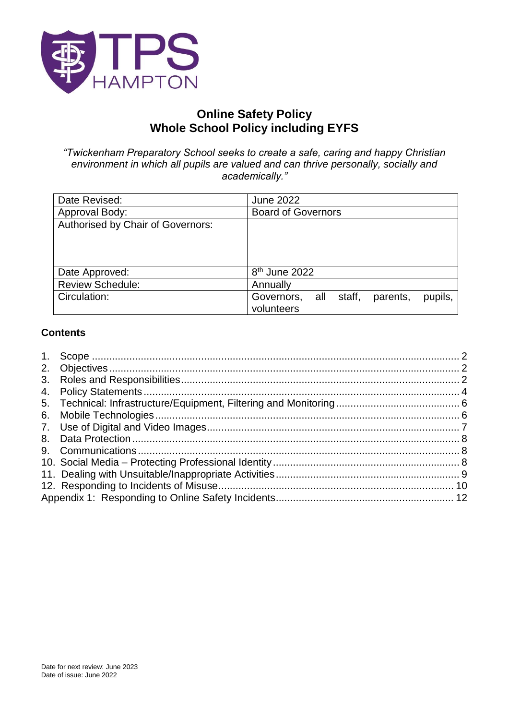

# **Online Safety Policy Whole School Policy including EYFS**

<span id="page-0-0"></span>*"Twickenham Preparatory School seeks to create a safe, caring and happy Christian environment in which all pupils are valued and can thrive personally, socially and academically."*

| Date Revised:                     | <b>June 2022</b>                                              |
|-----------------------------------|---------------------------------------------------------------|
| Approval Body:                    | <b>Board of Governors</b>                                     |
| Authorised by Chair of Governors: |                                                               |
| Date Approved:                    | 8 <sup>th</sup> June 2022                                     |
| <b>Review Schedule:</b>           | Annually                                                      |
| Circulation:                      | all staff,<br>Governors,<br>parents,<br>pupils,<br>volunteers |

### **Contents**

| 6. |  |
|----|--|
|    |  |
|    |  |
|    |  |
|    |  |
|    |  |
|    |  |
|    |  |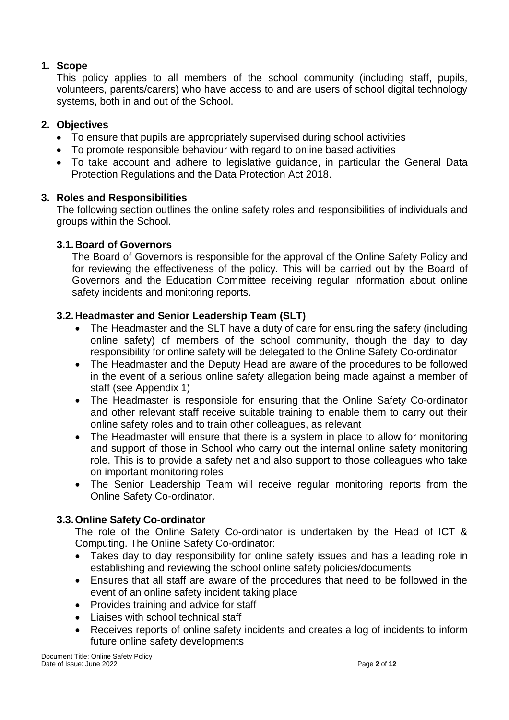## <span id="page-1-0"></span>**1. Scope**

This policy applies to all members of the school community (including staff, pupils, volunteers, parents/carers) who have access to and are users of school digital technology systems, both in and out of the School.

## <span id="page-1-1"></span>**2. Objectives**

- To ensure that pupils are appropriately supervised during school activities
- To promote responsible behaviour with regard to online based activities
- To take account and adhere to legislative guidance, in particular the General Data Protection Regulations and the Data Protection Act 2018.

## <span id="page-1-2"></span>**3. Roles and Responsibilities**

The following section outlines the online safety roles and responsibilities of individuals and groups within the School.

## **3.1.Board of Governors**

The Board of Governors is responsible for the approval of the Online Safety Policy and for reviewing the effectiveness of the policy. This will be carried out by the Board of Governors and the Education Committee receiving regular information about online safety incidents and monitoring reports.

## **3.2.Headmaster and Senior Leadership Team (SLT)**

- The Headmaster and the SLT have a duty of care for ensuring the safety (including online safety) of members of the school community, though the day to day responsibility for online safety will be delegated to the Online Safety Co-ordinator
- The Headmaster and the Deputy Head are aware of the procedures to be followed in the event of a serious online safety allegation being made against a member of staff (see Appendix 1)
- The Headmaster is responsible for ensuring that the Online Safety Co-ordinator and other relevant staff receive suitable training to enable them to carry out their online safety roles and to train other colleagues, as relevant
- The Headmaster will ensure that there is a system in place to allow for monitoring and support of those in School who carry out the internal online safety monitoring role. This is to provide a safety net and also support to those colleagues who take on important monitoring roles
- The Senior Leadership Team will receive regular monitoring reports from the Online Safety Co-ordinator.

## **3.3.Online Safety Co-ordinator**

The role of the Online Safety Co-ordinator is undertaken by the Head of ICT & Computing. The Online Safety Co-ordinator:

- Takes day to day responsibility for online safety issues and has a leading role in establishing and reviewing the school online safety policies/documents
- Ensures that all staff are aware of the procedures that need to be followed in the event of an online safety incident taking place
- Provides training and advice for staff
- Liaises with school technical staff
- Receives reports of online safety incidents and creates a log of incidents to inform future online safety developments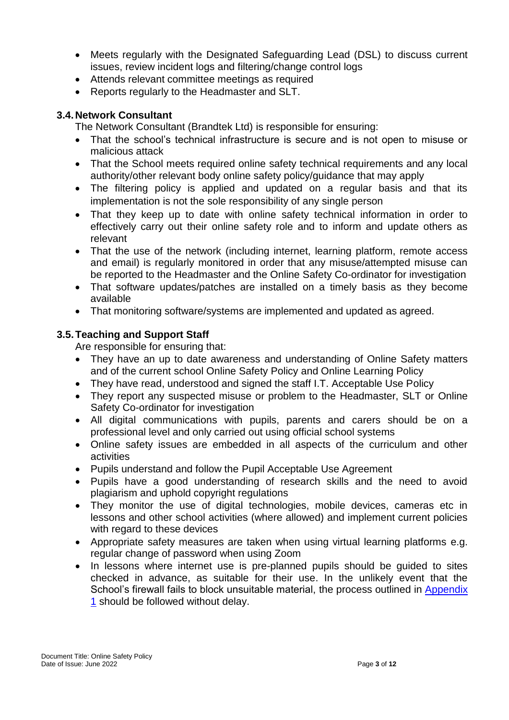- Meets regularly with the Designated Safeguarding Lead (DSL) to discuss current issues, review incident logs and filtering/change control logs
- Attends relevant committee meetings as required
- Reports regularly to the Headmaster and SLT.

## **3.4.Network Consultant**

The Network Consultant (Brandtek Ltd) is responsible for ensuring:

- That the school's technical infrastructure is secure and is not open to misuse or malicious attack
- That the School meets required online safety technical requirements and any local authority/other relevant body online safety policy/guidance that may apply
- The filtering policy is applied and updated on a regular basis and that its implementation is not the sole responsibility of any single person
- That they keep up to date with online safety technical information in order to effectively carry out their online safety role and to inform and update others as relevant
- That the use of the network (including internet, learning platform, remote access and email) is regularly monitored in order that any misuse/attempted misuse can be reported to the Headmaster and the Online Safety Co-ordinator for investigation
- That software updates/patches are installed on a timely basis as they become available
- That monitoring software/systems are implemented and updated as agreed.

## **3.5.Teaching and Support Staff**

Are responsible for ensuring that:

- They have an up to date awareness and understanding of Online Safety matters and of the current school Online Safety Policy and Online Learning Policy
- They have read, understood and signed the staff I.T. Acceptable Use Policy
- They report any suspected misuse or problem to the Headmaster, SLT or Online Safety Co-ordinator for investigation
- All digital communications with pupils, parents and carers should be on a professional level and only carried out using official school systems
- Online safety issues are embedded in all aspects of the curriculum and other activities
- Pupils understand and follow the Pupil Acceptable Use Agreement
- Pupils have a good understanding of research skills and the need to avoid plagiarism and uphold copyright regulations
- They monitor the use of digital technologies, mobile devices, cameras etc in lessons and other school activities (where allowed) and implement current policies with regard to these devices
- Appropriate safety measures are taken when using virtual learning platforms e.g. regular change of password when using Zoom
- In lessons where internet use is pre-planned pupils should be guided to sites checked in advance, as suitable for their use. In the unlikely event that the School's firewall fails to block unsuitable material, the process outlined in Appendix [1](#page-0-0) should be followed without delay.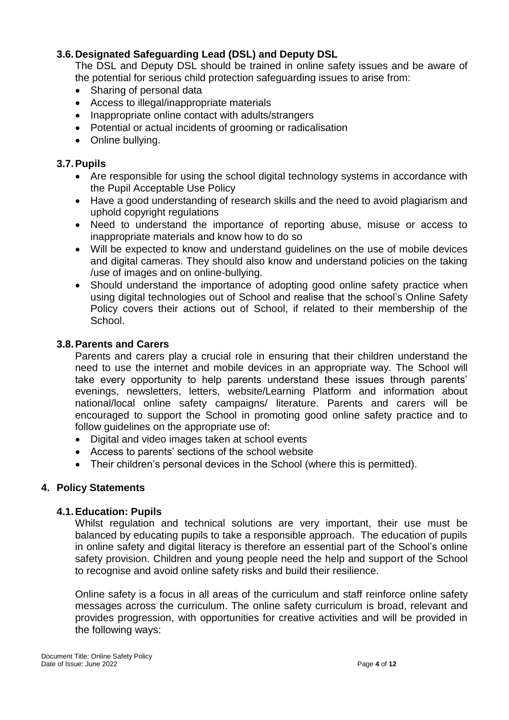## **3.6.Designated Safeguarding Lead (DSL) and Deputy DSL**

The DSL and Deputy DSL should be trained in online safety issues and be aware of the potential for serious child protection safeguarding issues to arise from:

- Sharing of personal data
- Access to illegal/inappropriate materials
- Inappropriate online contact with adults/strangers
- Potential or actual incidents of grooming or radicalisation
- Online bullying.

### **3.7.Pupils**

- Are responsible for using the school digital technology systems in accordance with the Pupil Acceptable Use Policy
- Have a good understanding of research skills and the need to avoid plagiarism and uphold copyright regulations
- Need to understand the importance of reporting abuse, misuse or access to inappropriate materials and know how to do so
- Will be expected to know and understand guidelines on the use of mobile devices and digital cameras. They should also know and understand policies on the taking /use of images and on online-bullying.
- Should understand the importance of adopting good online safety practice when using digital technologies out of School and realise that the school's Online Safety Policy covers their actions out of School, if related to their membership of the School.

## **3.8.Parents and Carers**

Parents and carers play a crucial role in ensuring that their children understand the need to use the internet and mobile devices in an appropriate way. The School will take every opportunity to help parents understand these issues through parents' evenings, newsletters, letters, website/Learning Platform and information about national/local online safety campaigns/ literature. Parents and carers will be encouraged to support the School in promoting good online safety practice and to follow guidelines on the appropriate use of:

- Digital and video images taken at school events
- Access to parents' sections of the school website
- Their children's personal devices in the School (where this is permitted).

#### <span id="page-3-0"></span>**4. Policy Statements**

#### **4.1.Education: Pupils**

Whilst regulation and technical solutions are very important, their use must be balanced by educating pupils to take a responsible approach. The education of pupils in online safety and digital literacy is therefore an essential part of the School's online safety provision. Children and young people need the help and support of the School to recognise and avoid online safety risks and build their resilience.

Online safety is a focus in all areas of the curriculum and staff reinforce online safety messages across the curriculum. The online safety curriculum is broad, relevant and provides progression, with opportunities for creative activities and will be provided in the following ways: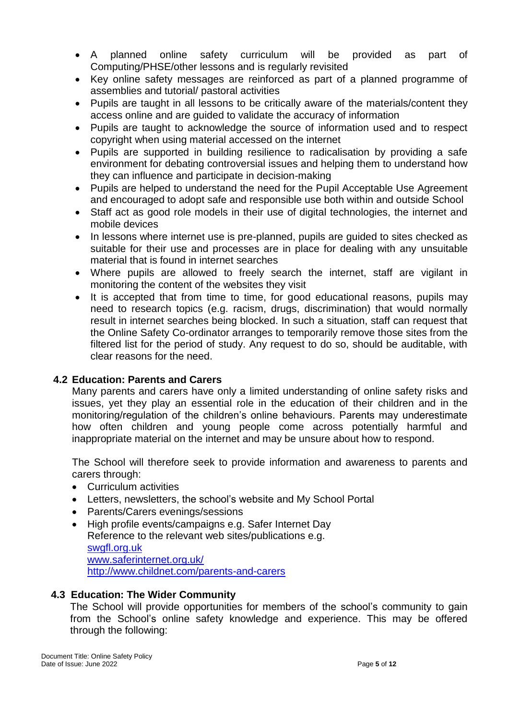- A planned online safety curriculum will be provided as part of Computing/PHSE/other lessons and is regularly revisited
- Key online safety messages are reinforced as part of a planned programme of assemblies and tutorial/ pastoral activities
- Pupils are taught in all lessons to be critically aware of the materials/content they access online and are guided to validate the accuracy of information
- Pupils are taught to acknowledge the source of information used and to respect copyright when using material accessed on the internet
- Pupils are supported in building resilience to radicalisation by providing a safe environment for debating controversial issues and helping them to understand how they can influence and participate in decision-making
- Pupils are helped to understand the need for the Pupil Acceptable Use Agreement and encouraged to adopt safe and responsible use both within and outside School
- Staff act as good role models in their use of digital technologies, the internet and mobile devices
- In lessons where internet use is pre-planned, pupils are guided to sites checked as suitable for their use and processes are in place for dealing with any unsuitable material that is found in internet searches
- Where pupils are allowed to freely search the internet, staff are vigilant in monitoring the content of the websites they visit
- It is accepted that from time to time, for good educational reasons, pupils may need to research topics (e.g. racism, drugs, discrimination) that would normally result in internet searches being blocked. In such a situation, staff can request that the Online Safety Co-ordinator arranges to temporarily remove those sites from the filtered list for the period of study. Any request to do so, should be auditable, with clear reasons for the need.

## **4.2 Education: Parents and Carers**

Many parents and carers have only a limited understanding of online safety risks and issues, yet they play an essential role in the education of their children and in the monitoring/regulation of the children's online behaviours. Parents may underestimate how often children and young people come across potentially harmful and inappropriate material on the internet and may be unsure about how to respond.

The School will therefore seek to provide information and awareness to parents and carers through:

- Curriculum activities
- Letters, newsletters, the school's website and My School Portal
- Parents/Carers evenings/sessions
- High profile events/campaigns e.g. Safer Internet Day Reference to the relevant web sites/publications e.g. [swgfl.org.uk](http://swgfl.org.uk/)  [www.saferinternet.org.uk/](http://www.saferinternet.org.uk/)  <http://www.childnet.com/parents-and-carers>

#### **4.3 Education: The Wider Community**

The School will provide opportunities for members of the school's community to gain from the School's online safety knowledge and experience. This may be offered through the following: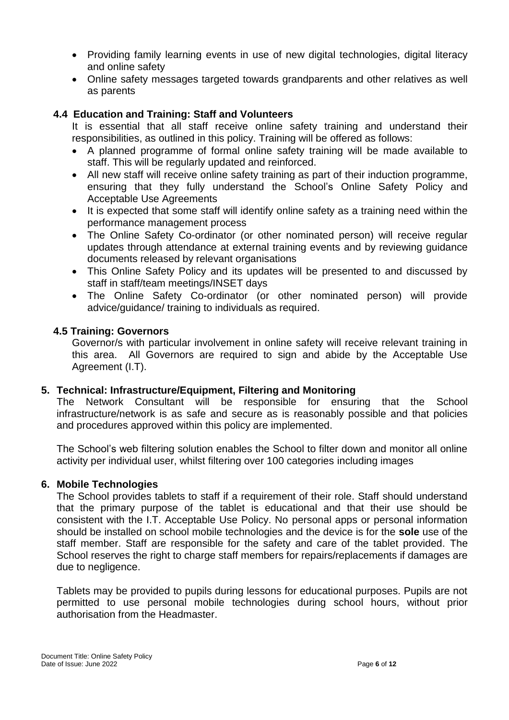- Providing family learning events in use of new digital technologies, digital literacy and online safety
- Online safety messages targeted towards grandparents and other relatives as well as parents

### **4.4 Education and Training: Staff and Volunteers**

It is essential that all staff receive online safety training and understand their responsibilities, as outlined in this policy. Training will be offered as follows:

- A planned programme of formal online safety training will be made available to staff. This will be regularly updated and reinforced.
- All new staff will receive online safety training as part of their induction programme, ensuring that they fully understand the School's Online Safety Policy and Acceptable Use Agreements
- It is expected that some staff will identify online safety as a training need within the performance management process
- The Online Safety Co-ordinator (or other nominated person) will receive regular updates through attendance at external training events and by reviewing guidance documents released by relevant organisations
- This Online Safety Policy and its updates will be presented to and discussed by staff in staff/team meetings/INSET days
- The Online Safety Co-ordinator (or other nominated person) will provide advice/guidance/ training to individuals as required.

#### **4.5 Training: Governors**

Governor/s with particular involvement in online safety will receive relevant training in this area. All Governors are required to sign and abide by the Acceptable Use Agreement (I.T).

#### <span id="page-5-0"></span>**5. Technical: Infrastructure/Equipment, Filtering and Monitoring**

The Network Consultant will be responsible for ensuring that the School infrastructure/network is as safe and secure as is reasonably possible and that policies and procedures approved within this policy are implemented.

The School's web filtering solution enables the School to filter down and monitor all online activity per individual user, whilst filtering over 100 categories including images

#### <span id="page-5-1"></span>**6. Mobile Technologies**

The School provides tablets to staff if a requirement of their role. Staff should understand that the primary purpose of the tablet is educational and that their use should be consistent with the I.T. Acceptable Use Policy. No personal apps or personal information should be installed on school mobile technologies and the device is for the **sole** use of the staff member. Staff are responsible for the safety and care of the tablet provided. The School reserves the right to charge staff members for repairs/replacements if damages are due to negligence.

Tablets may be provided to pupils during lessons for educational purposes. Pupils are not permitted to use personal mobile technologies during school hours, without prior authorisation from the Headmaster.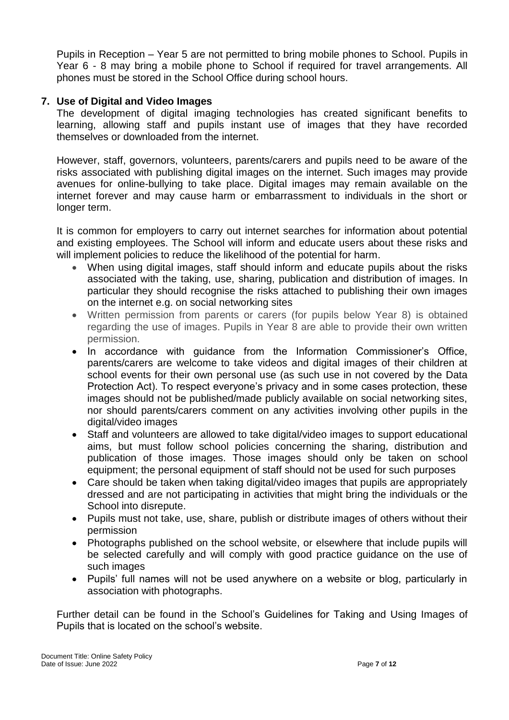Pupils in Reception – Year 5 are not permitted to bring mobile phones to School. Pupils in Year 6 - 8 may bring a mobile phone to School if required for travel arrangements. All phones must be stored in the School Office during school hours.

#### <span id="page-6-0"></span>**7. Use of Digital and Video Images**

The development of digital imaging technologies has created significant benefits to learning, allowing staff and pupils instant use of images that they have recorded themselves or downloaded from the internet.

However, staff, governors, volunteers, parents/carers and pupils need to be aware of the risks associated with publishing digital images on the internet. Such images may provide avenues for online-bullying to take place. Digital images may remain available on the internet forever and may cause harm or embarrassment to individuals in the short or longer term.

It is common for employers to carry out internet searches for information about potential and existing employees. The School will inform and educate users about these risks and will implement policies to reduce the likelihood of the potential for harm.

- When using digital images, staff should inform and educate pupils about the risks associated with the taking, use, sharing, publication and distribution of images. In particular they should recognise the risks attached to publishing their own images on the internet e.g. on social networking sites
- Written permission from parents or carers (for pupils below Year 8) is obtained regarding the use of images. Pupils in Year 8 are able to provide their own written permission.
- In accordance with guidance from the Information Commissioner's Office, parents/carers are welcome to take videos and digital images of their children at school events for their own personal use (as such use in not covered by the Data Protection Act). To respect everyone's privacy and in some cases protection, these images should not be published/made publicly available on social networking sites, nor should parents/carers comment on any activities involving other pupils in the digital/video images
- Staff and volunteers are allowed to take digital/video images to support educational aims, but must follow school policies concerning the sharing, distribution and publication of those images. Those images should only be taken on school equipment; the personal equipment of staff should not be used for such purposes
- Care should be taken when taking digital/video images that pupils are appropriately dressed and are not participating in activities that might bring the individuals or the School into disrepute.
- Pupils must not take, use, share, publish or distribute images of others without their permission
- Photographs published on the school website, or elsewhere that include pupils will be selected carefully and will comply with good practice guidance on the use of such images
- Pupils' full names will not be used anywhere on a website or blog, particularly in association with photographs.

Further detail can be found in the School's Guidelines for Taking and Using Images of Pupils that is located on the school's website.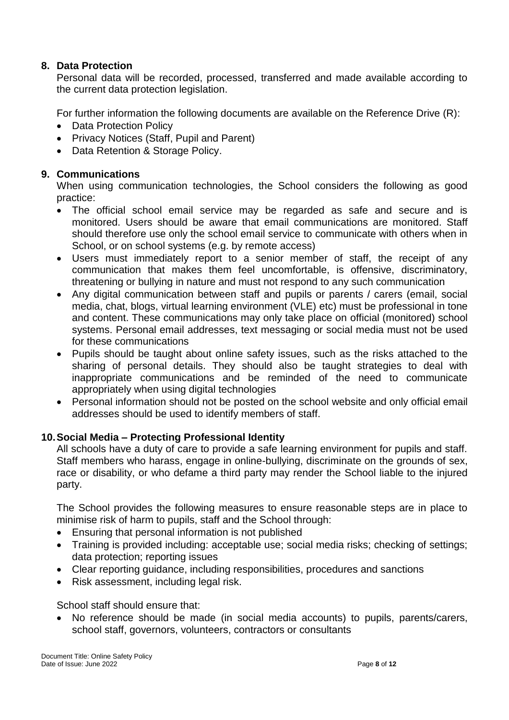### <span id="page-7-0"></span>**8. Data Protection**

Personal data will be recorded, processed, transferred and made available according to the current data protection legislation.

For further information the following documents are available on the Reference Drive (R):

- Data Protection Policy
- Privacy Notices (Staff, Pupil and Parent)
- Data Retention & Storage Policy.

#### <span id="page-7-1"></span>**9. Communications**

When using communication technologies, the School considers the following as good practice:

- The official school email service may be regarded as safe and secure and is monitored. Users should be aware that email communications are monitored. Staff should therefore use only the school email service to communicate with others when in School, or on school systems (e.g. by remote access)
- Users must immediately report to a senior member of staff, the receipt of any communication that makes them feel uncomfortable, is offensive, discriminatory, threatening or bullying in nature and must not respond to any such communication
- Any digital communication between staff and pupils or parents / carers (email, social media, chat, blogs, virtual learning environment (VLE) etc) must be professional in tone and content. These communications may only take place on official (monitored) school systems. Personal email addresses, text messaging or social media must not be used for these communications
- Pupils should be taught about online safety issues, such as the risks attached to the sharing of personal details. They should also be taught strategies to deal with inappropriate communications and be reminded of the need to communicate appropriately when using digital technologies
- Personal information should not be posted on the school website and only official email addresses should be used to identify members of staff.

#### <span id="page-7-2"></span>**10.Social Media – Protecting Professional Identity**

All schools have a duty of care to provide a safe learning environment for pupils and staff. Staff members who harass, engage in online-bullying, discriminate on the grounds of sex, race or disability, or who defame a third party may render the School liable to the injured party.

The School provides the following measures to ensure reasonable steps are in place to minimise risk of harm to pupils, staff and the School through:

- Ensuring that personal information is not published
- Training is provided including: acceptable use; social media risks; checking of settings; data protection; reporting issues
- Clear reporting guidance, including responsibilities, procedures and sanctions
- Risk assessment, including legal risk.

School staff should ensure that:

• No reference should be made (in social media accounts) to pupils, parents/carers, school staff, governors, volunteers, contractors or consultants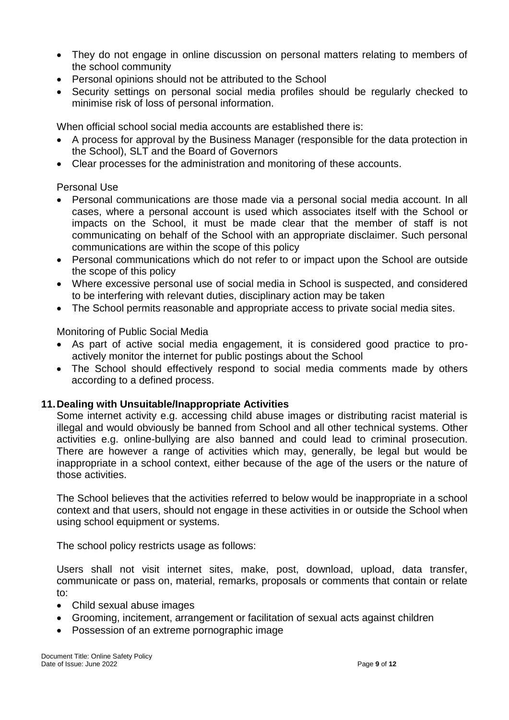- They do not engage in online discussion on personal matters relating to members of the school community
- Personal opinions should not be attributed to the School
- Security settings on personal social media profiles should be regularly checked to minimise risk of loss of personal information.

When official school social media accounts are established there is:

- A process for approval by the Business Manager (responsible for the data protection in the School), SLT and the Board of Governors
- Clear processes for the administration and monitoring of these accounts.

## Personal Use

- Personal communications are those made via a personal social media account. In all cases, where a personal account is used which associates itself with the School or impacts on the School, it must be made clear that the member of staff is not communicating on behalf of the School with an appropriate disclaimer. Such personal communications are within the scope of this policy
- Personal communications which do not refer to or impact upon the School are outside the scope of this policy
- Where excessive personal use of social media in School is suspected, and considered to be interfering with relevant duties, disciplinary action may be taken
- The School permits reasonable and appropriate access to private social media sites.

Monitoring of Public Social Media

- As part of active social media engagement, it is considered good practice to proactively monitor the internet for public postings about the School
- The School should effectively respond to social media comments made by others according to a defined process.

## <span id="page-8-0"></span>**11.Dealing with Unsuitable/Inappropriate Activities**

Some internet activity e.g. accessing child abuse images or distributing racist material is illegal and would obviously be banned from School and all other technical systems. Other activities e.g. online-bullying are also banned and could lead to criminal prosecution. There are however a range of activities which may, generally, be legal but would be inappropriate in a school context, either because of the age of the users or the nature of those activities.

The School believes that the activities referred to below would be inappropriate in a school context and that users, should not engage in these activities in or outside the School when using school equipment or systems.

The school policy restricts usage as follows:

Users shall not visit internet sites, make, post, download, upload, data transfer, communicate or pass on, material, remarks, proposals or comments that contain or relate to:

- Child sexual abuse images
- Grooming, incitement, arrangement or facilitation of sexual acts against children
- Possession of an extreme pornographic image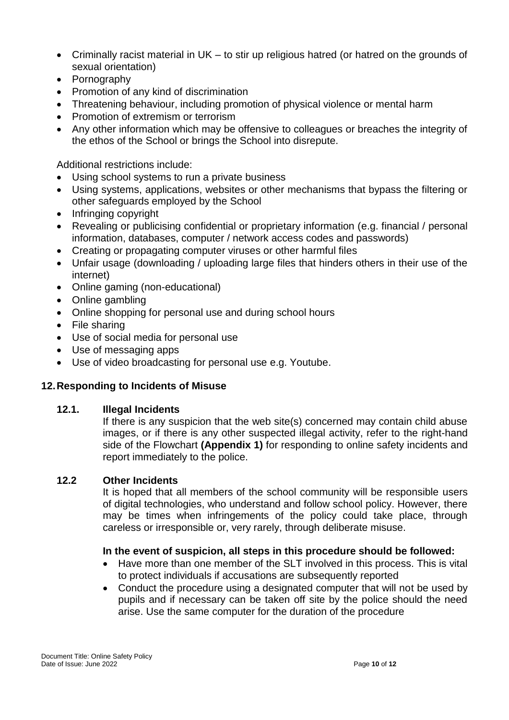- Criminally racist material in UK to stir up religious hatred (or hatred on the grounds of sexual orientation)
- Pornography
- Promotion of any kind of discrimination
- Threatening behaviour, including promotion of physical violence or mental harm
- Promotion of extremism or terrorism
- Any other information which may be offensive to colleagues or breaches the integrity of the ethos of the School or brings the School into disrepute.

Additional restrictions include:

- Using school systems to run a private business
- Using systems, applications, websites or other mechanisms that bypass the filtering or other safeguards employed by the School
- Infringing copyright
- Revealing or publicising confidential or proprietary information (e.g. financial / personal information, databases, computer / network access codes and passwords)
- Creating or propagating computer viruses or other harmful files
- Unfair usage (downloading / uploading large files that hinders others in their use of the internet)
- Online gaming (non-educational)
- Online gambling
- Online shopping for personal use and during school hours
- File sharing
- Use of social media for personal use
- Use of messaging apps
- Use of video broadcasting for personal use e.g. Youtube.

## <span id="page-9-0"></span>**12.Responding to Incidents of Misuse**

#### **12.1. Illegal Incidents**

If there is any suspicion that the web site(s) concerned may contain child abuse images, or if there is any other suspected illegal activity, refer to the right-hand side of the Flowchart **(Appendix 1)** for responding to online safety incidents and report immediately to the police.

#### **12.2 Other Incidents**

It is hoped that all members of the school community will be responsible users of digital technologies, who understand and follow school policy. However, there may be times when infringements of the policy could take place, through careless or irresponsible or, very rarely, through deliberate misuse.

## **In the event of suspicion, all steps in this procedure should be followed:**

- Have more than one member of the SLT involved in this process. This is vital to protect individuals if accusations are subsequently reported
- Conduct the procedure using a designated computer that will not be used by pupils and if necessary can be taken off site by the police should the need arise. Use the same computer for the duration of the procedure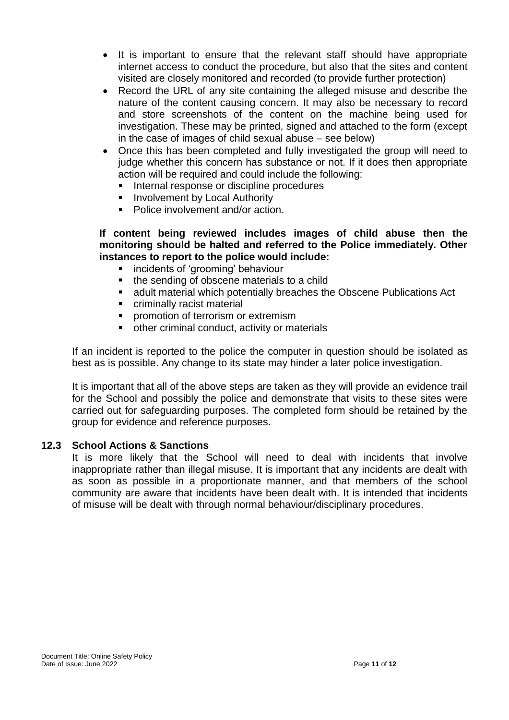- It is important to ensure that the relevant staff should have appropriate internet access to conduct the procedure, but also that the sites and content visited are closely monitored and recorded (to provide further protection)
- Record the URL of any site containing the alleged misuse and describe the nature of the content causing concern. It may also be necessary to record and store screenshots of the content on the machine being used for investigation. These may be printed, signed and attached to the form (except in the case of images of child sexual abuse – see below)
- Once this has been completed and fully investigated the group will need to judge whether this concern has substance or not. If it does then appropriate action will be required and could include the following:
	- Internal response or discipline procedures
	- **■** Involvement by Local Authority
	- Police involvement and/or action

#### **If content being reviewed includes images of child abuse then the monitoring should be halted and referred to the Police immediately. Other instances to report to the police would include:**

- incidents of 'grooming' behaviour
- the sending of obscene materials to a child
- adult material which potentially breaches the Obscene Publications Act
- criminally racist material
- **•** promotion of terrorism or extremism
- other criminal conduct, activity or materials

If an incident is reported to the police the computer in question should be isolated as best as is possible. Any change to its state may hinder a later police investigation.

It is important that all of the above steps are taken as they will provide an evidence trail for the School and possibly the police and demonstrate that visits to these sites were carried out for safeguarding purposes. The completed form should be retained by the group for evidence and reference purposes.

#### **12.3 School Actions & Sanctions**

It is more likely that the School will need to deal with incidents that involve inappropriate rather than illegal misuse. It is important that any incidents are dealt with as soon as possible in a proportionate manner, and that members of the school community are aware that incidents have been dealt with. It is intended that incidents of misuse will be dealt with through normal behaviour/disciplinary procedures.